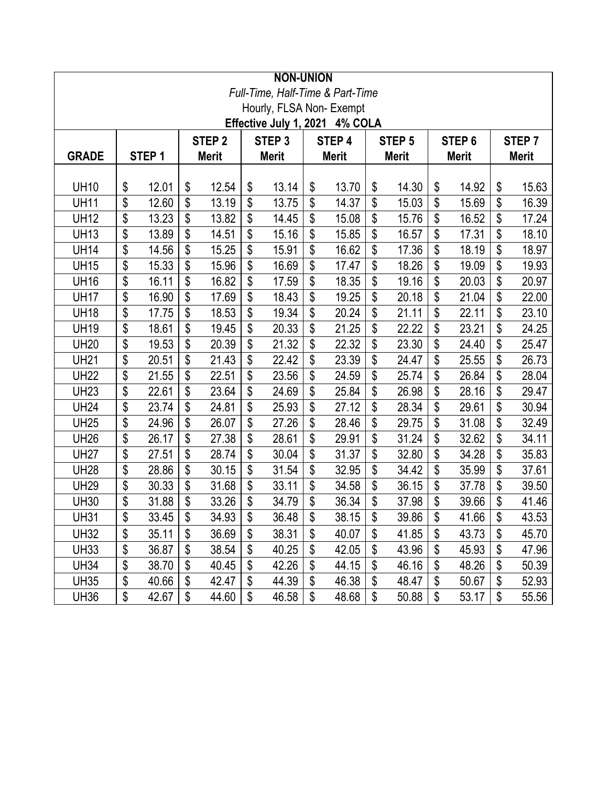|                                |                   |                   |                          |                   |              | <b>NON-UNION</b> |              |                                  |              |                   |              |                   |              |       |
|--------------------------------|-------------------|-------------------|--------------------------|-------------------|--------------|------------------|--------------|----------------------------------|--------------|-------------------|--------------|-------------------|--------------|-------|
|                                |                   |                   |                          |                   |              |                  |              | Full-Time, Half-Time & Part-Time |              |                   |              |                   |              |       |
|                                |                   |                   |                          |                   |              |                  |              | Hourly, FLSA Non-Exempt          |              |                   |              |                   |              |       |
| Effective July 1, 2021 4% COLA |                   |                   |                          |                   |              |                  |              |                                  |              |                   |              |                   |              |       |
|                                |                   | STEP <sub>2</sub> |                          | STEP <sub>3</sub> |              | STEP 4           |              | STEP <sub>5</sub>                |              | STEP <sub>6</sub> |              | STEP <sub>7</sub> |              |       |
| <b>GRADE</b>                   | STEP <sub>1</sub> |                   | <b>Merit</b>             |                   | <b>Merit</b> |                  | <b>Merit</b> |                                  | <b>Merit</b> |                   | <b>Merit</b> |                   | <b>Merit</b> |       |
|                                |                   |                   |                          |                   |              |                  |              |                                  |              |                   |              |                   |              |       |
| <b>UH10</b>                    | \$                | 12.01             | \$<br>\$                 | 12.54             | \$           | 13.14            | \$           | 13.70                            | \$           | 14.30             | \$           | 14.92             | \$<br>\$     | 15.63 |
| <b>UH11</b>                    | \$                | 12.60             |                          | 13.19             | \$           | 13.75            | \$           | 14.37                            | \$           | 15.03             | \$           | 15.69             |              | 16.39 |
| <b>UH12</b>                    | \$                | 13.23             | \$                       | 13.82             | \$           | 14.45            | \$           | 15.08                            | \$           | 15.76             | \$           | 16.52             | \$           | 17.24 |
| <b>UH13</b>                    | \$                | 13.89             | \$                       | 14.51             | \$           | 15.16            | \$           | 15.85                            | \$           | 16.57             | \$           | 17.31             | \$           | 18.10 |
| <b>UH14</b>                    | \$                | 14.56             | \$                       | 15.25             | \$           | 15.91            | \$           | 16.62                            | \$           | 17.36             | \$           | 18.19             | \$           | 18.97 |
| <b>UH15</b>                    | \$                | 15.33             | $\overline{\mathcal{S}}$ | 15.96             | \$           | 16.69            | \$           | 17.47                            | \$           | 18.26             | \$           | 19.09             | \$           | 19.93 |
| <b>UH16</b>                    | \$                | 16.11             | \$                       | 16.82             | \$           | 17.59            | \$           | 18.35                            | \$           | 19.16             | \$           | 20.03             | \$           | 20.97 |
| <b>UH17</b>                    | \$                | 16.90             | \$                       | 17.69             | \$           | 18.43            | \$           | 19.25                            | \$           | 20.18             | \$           | 21.04             | \$           | 22.00 |
| <b>UH18</b>                    | \$                | 17.75             | \$                       | 18.53             | \$           | 19.34            | \$           | 20.24                            | \$           | 21.11             | \$           | 22.11             | \$           | 23.10 |
| <b>UH19</b>                    | \$                | 18.61             | \$                       | 19.45             | \$           | 20.33            | \$           | 21.25                            | \$           | 22.22             | \$           | 23.21             | \$           | 24.25 |
| <b>UH20</b>                    | \$                | 19.53             | \$                       | 20.39             | \$           | 21.32            | \$           | 22.32                            | \$           | 23.30             | \$           | 24.40             | \$           | 25.47 |
| <b>UH21</b>                    | \$                | 20.51             | \$                       | 21.43             | \$           | 22.42            | \$           | 23.39                            | \$           | 24.47             | \$           | 25.55             | \$           | 26.73 |
| <b>UH22</b>                    | \$                | 21.55             | \$                       | 22.51             | \$           | 23.56            | \$           | 24.59                            | \$           | 25.74             | \$           | 26.84             | \$           | 28.04 |
| <b>UH23</b>                    | \$                | 22.61             | \$                       | 23.64             | \$           | 24.69            | \$           | 25.84                            | \$           | 26.98             | \$           | 28.16             | \$           | 29.47 |
| <b>UH24</b>                    | \$                | 23.74             | \$                       | 24.81             | \$           | 25.93            | \$           | 27.12                            | \$           | 28.34             | \$           | 29.61             | \$           | 30.94 |
| <b>UH25</b>                    | \$                | 24.96             | \$                       | 26.07             | \$           | 27.26            | \$           | 28.46                            | \$           | 29.75             | \$           | 31.08             | \$           | 32.49 |
| <b>UH26</b>                    | \$                | 26.17             | \$                       | 27.38             | \$           | 28.61            | \$           | 29.91                            | \$           | 31.24             | \$           | 32.62             | \$           | 34.11 |
| <b>UH27</b>                    | \$                | 27.51             | \$                       | 28.74             | \$           | 30.04            | \$           | 31.37                            | \$           | 32.80             | \$           | 34.28             | \$           | 35.83 |
| <b>UH28</b>                    | \$                | 28.86             | \$                       | 30.15             | \$           | 31.54            | \$           | 32.95                            | \$           | 34.42             | \$           | 35.99             | \$           | 37.61 |
| <b>UH29</b>                    | \$                | 30.33             | \$                       | 31.68             | \$           | 33.11            | \$           | 34.58                            | \$           | 36.15             | \$           | 37.78             | \$           | 39.50 |
| <b>UH30</b>                    | \$                | 31.88             | \$                       | 33.26             | \$           | 34.79            | \$           | 36.34                            | \$           | 37.98             | \$           | 39.66             | \$           | 41.46 |
| <b>UH31</b>                    | \$                | 33.45             | \$                       | 34.93             | \$           | 36.48            | \$           | 38.15                            | \$           | 39.86             | \$           | 41.66             | \$           | 43.53 |
| <b>UH32</b>                    | \$                | 35.11             | \$                       | 36.69             | \$           | 38.31            | \$           | 40.07                            | \$           | 41.85             | \$           | 43.73             | \$           | 45.70 |
| <b>UH33</b>                    | \$                | 36.87             | \$                       | 38.54             | \$           | 40.25            | \$           | 42.05                            | \$           | 43.96             | \$           | 45.93             | \$           | 47.96 |
| <b>UH34</b>                    | \$                | 38.70             | \$                       | 40.45             | \$           | 42.26            | \$           | 44.15                            | \$           | 46.16             | \$           | 48.26             | \$           | 50.39 |
| <b>UH35</b>                    | \$                | 40.66             | \$                       | 42.47             | \$           | 44.39            | \$           | 46.38                            | \$           | 48.47             | \$           | 50.67             | \$           | 52.93 |
| <b>UH36</b>                    | \$                | 42.67             | \$                       | 44.60             | \$           | 46.58            | \$           | 48.68                            | \$           | 50.88             | \$           | 53.17             | \$           | 55.56 |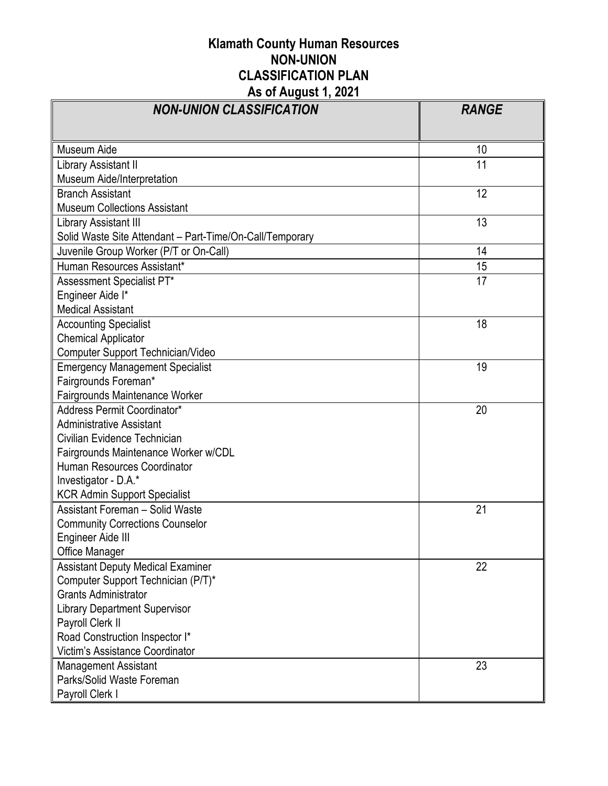## **Klamath County Human Resources NON-UNION CLASSIFICATION PLAN As of August 1, 2021**

| NON-UNION CLASSIFICATION                                 | <b>RANGE</b> |
|----------------------------------------------------------|--------------|
|                                                          |              |
| Museum Aide                                              | 10           |
| Library Assistant II                                     | 11           |
| Museum Aide/Interpretation                               |              |
| <b>Branch Assistant</b>                                  | 12           |
| <b>Museum Collections Assistant</b>                      |              |
| Library Assistant III                                    | 13           |
| Solid Waste Site Attendant - Part-Time/On-Call/Temporary |              |
| Juvenile Group Worker (P/T or On-Call)                   | 14           |
| Human Resources Assistant*                               | 15           |
| Assessment Specialist PT*                                | 17           |
| Engineer Aide I*                                         |              |
| <b>Medical Assistant</b>                                 |              |
| <b>Accounting Specialist</b>                             | 18           |
| <b>Chemical Applicator</b>                               |              |
| <b>Computer Support Technician/Video</b>                 |              |
| <b>Emergency Management Specialist</b>                   | 19           |
| Fairgrounds Foreman*                                     |              |
| Fairgrounds Maintenance Worker                           |              |
| Address Permit Coordinator*                              | 20           |
| <b>Administrative Assistant</b>                          |              |
| Civilian Evidence Technician                             |              |
| Fairgrounds Maintenance Worker w/CDL                     |              |
| Human Resources Coordinator                              |              |
| Investigator - D.A.*                                     |              |
| <b>KCR Admin Support Specialist</b>                      |              |
| <b>Assistant Foreman - Solid Waste</b>                   | 21           |
| <b>Community Corrections Counselor</b>                   |              |
| Engineer Aide III                                        |              |
| Office Manager                                           |              |
| <b>Assistant Deputy Medical Examiner</b>                 | 22           |
| Computer Support Technician (P/T)*                       |              |
| <b>Grants Administrator</b>                              |              |
| <b>Library Department Supervisor</b>                     |              |
| Payroll Clerk II                                         |              |
| Road Construction Inspector I*                           |              |
| Victim's Assistance Coordinator                          |              |
| Management Assistant                                     | 23           |
| Parks/Solid Waste Foreman                                |              |
| Payroll Clerk I                                          |              |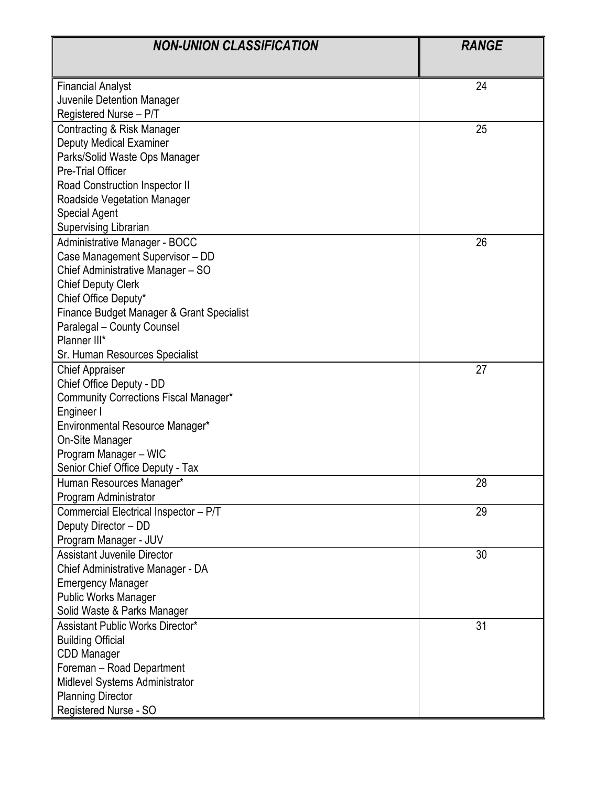| <b>NON-UNION CLASSIFICATION</b>           | <b>RANGE</b> |
|-------------------------------------------|--------------|
|                                           |              |
| <b>Financial Analyst</b>                  | 24           |
| Juvenile Detention Manager                |              |
| Registered Nurse - P/T                    |              |
| Contracting & Risk Manager                | 25           |
| <b>Deputy Medical Examiner</b>            |              |
| Parks/Solid Waste Ops Manager             |              |
| <b>Pre-Trial Officer</b>                  |              |
| Road Construction Inspector II            |              |
| Roadside Vegetation Manager               |              |
| <b>Special Agent</b>                      |              |
| <b>Supervising Librarian</b>              |              |
| Administrative Manager - BOCC             | 26           |
| Case Management Supervisor - DD           |              |
| Chief Administrative Manager - SO         |              |
| <b>Chief Deputy Clerk</b>                 |              |
| Chief Office Deputy*                      |              |
| Finance Budget Manager & Grant Specialist |              |
| Paralegal - County Counsel                |              |
| Planner III*                              |              |
| Sr. Human Resources Specialist            |              |
| <b>Chief Appraiser</b>                    | 27           |
| Chief Office Deputy - DD                  |              |
| Community Corrections Fiscal Manager*     |              |
| Engineer I                                |              |
| Environmental Resource Manager*           |              |
| On-Site Manager                           |              |
| Program Manager - WIC                     |              |
| Senior Chief Office Deputy - Tax          |              |
| Human Resources Manager*                  | 28           |
| Program Administrator                     |              |
| Commercial Electrical Inspector - P/T     | 29           |
| Deputy Director - DD                      |              |
| Program Manager - JUV                     |              |
| <b>Assistant Juvenile Director</b>        | 30           |
| Chief Administrative Manager - DA         |              |
| <b>Emergency Manager</b>                  |              |
| <b>Public Works Manager</b>               |              |
| Solid Waste & Parks Manager               |              |
| <b>Assistant Public Works Director*</b>   | 31           |
| <b>Building Official</b>                  |              |
| CDD Manager                               |              |
| Foreman - Road Department                 |              |
| Midlevel Systems Administrator            |              |
| <b>Planning Director</b>                  |              |
| Registered Nurse - SO                     |              |